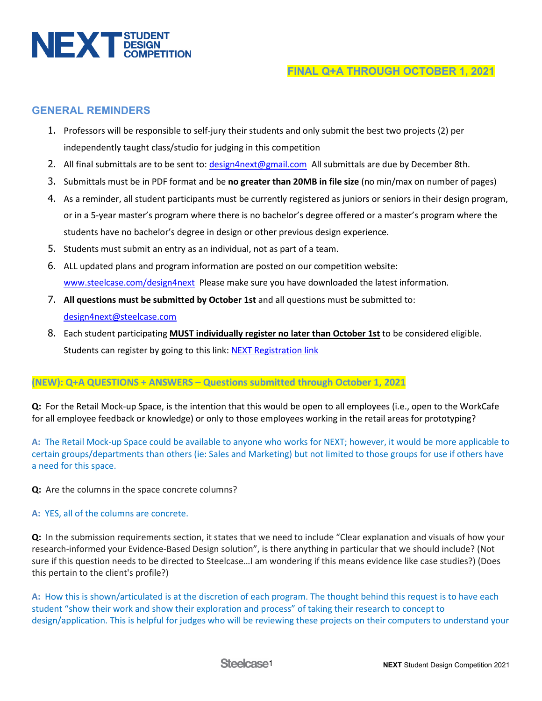

# **GENERAL REMINDERS**

- 1. Professors will be responsible to self-jury their students and only submit the best two projects (2) per independently taught class/studio for judging in this competition
- 2. All final submittals are to be sent to: [design4next@gmail.com](mailto:design4next@gmail.com) All submittals are due by December 8th.
- 3. Submittals must be in PDF format and be **no greater than 20MB in file size** (no min/max on number of pages)
- 4. As a reminder, all student participants must be currently registered as juniors or seniors in their design program, or in a 5-year master's program where there is no bachelor's degree offered or a master's program where the students have no bachelor's degree in design or other previous design experience.
- 5. Students must submit an entry as an individual, not as part of a team.
- 6. ALL updated plans and program information are posted on our competition website: [www.steelcase.com/design4next](http://www.steelcase.com/design4next) Please make sure you have downloaded the latest information.
- 7. **All questions must be submitted by October 1st** and all questions must be submitted to: [design4next@steelcase.com](mailto:design4next@steelcase.com)
- 8. Each student participating **MUST individually register no later than October 1st** to be considered eligible. Students can register by going to this link: [NEXT Registration link](https://info.steelcase.com/steelcase-next-student-design-competition)

## **(NEW): Q+A QUESTIONS + ANSWERS – Questions submitted through October 1, 2021**

**Q:** For the Retail Mock-up Space, is the intention that this would be open to all employees (i.e., open to the WorkCafe for all employee feedback or knowledge) or only to those employees working in the retail areas for prototyping?

**A:** The Retail Mock-up Space could be available to anyone who works for NEXT; however, it would be more applicable to certain groups/departments than others (ie: Sales and Marketing) but not limited to those groups for use if others have a need for this space.

**Q:** Are the columns in the space concrete columns?

#### **A:** YES, all of the columns are concrete.

**Q:** In the submission requirements section, it states that we need to include "Clear explanation and visuals of how your research-informed your Evidence-Based Design solution", is there anything in particular that we should include? (Not sure if this question needs to be directed to Steelcase…I am wondering if this means evidence like case studies?) (Does this pertain to the client's profile?)

**A:** How this is shown/articulated is at the discretion of each program. The thought behind this request is to have each student "show their work and show their exploration and process" of taking their research to concept to design/application. This is helpful for judges who will be reviewing these projects on their computers to understand your

Steelcase<sub>1</sub>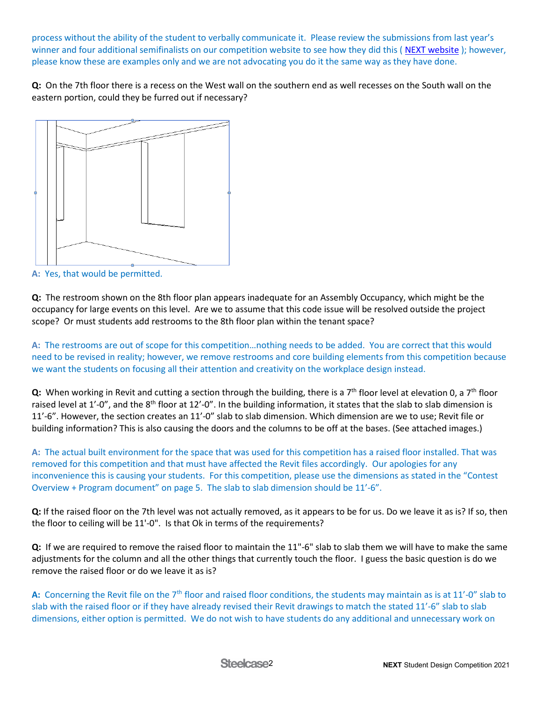process without the ability of the student to verbally communicate it. Please review the submissions from last year's winner and four additional semifinalists on our competition website to see how they did this ( [NEXT website](https://www.steelcase.com/discover/information/architects-and-designers/next-student-design-competition/#winners-and-judges_winner) ); however, please know these are examples only and we are not advocating you do it the same way as they have done.

**Q:** On the 7th floor there is a recess on the West wall on the southern end as well recesses on the South wall on the eastern portion, could they be furred out if necessary?



**A:** Yes, that would be permitted.

**Q:** The restroom shown on the 8th floor plan appears inadequate for an Assembly Occupancy, which might be the occupancy for large events on this level. Are we to assume that this code issue will be resolved outside the project scope? Or must students add restrooms to the 8th floor plan within the tenant space?

**A:** The restrooms are out of scope for this competition…nothing needs to be added. You are correct that this would need to be revised in reality; however, we remove restrooms and core building elements from this competition because we want the students on focusing all their attention and creativity on the workplace design instead.

**Q:** When working in Revit and cutting a section through the building, there is a 7<sup>th</sup> floor level at elevation 0, a 7<sup>th</sup> floor raised level at 1'-0", and the 8<sup>th</sup> floor at 12'-0". In the building information, it states that the slab to slab dimension is 11'-6". However, the section creates an 11'-0" slab to slab dimension. Which dimension are we to use; Revit file or building information? This is also causing the doors and the columns to be off at the bases. (See attached images.)

**A:** The actual built environment for the space that was used for this competition has a raised floor installed. That was removed for this competition and that must have affected the Revit files accordingly. Our apologies for any inconvenience this is causing your students. For this competition, please use the dimensions as stated in the "Contest Overview + Program document" on page 5. The slab to slab dimension should be 11'-6".

**Q:** If the raised floor on the 7th level was not actually removed, as it appears to be for us. Do we leave it as is? If so, then the floor to ceiling will be 11'-0". Is that Ok in terms of the requirements?

**Q:** If we are required to remove the raised floor to maintain the 11"-6" slab to slab them we will have to make the same adjustments for the column and all the other things that currently touch the floor. I guess the basic question is do we remove the raised floor or do we leave it as is?

A: Concerning the Revit file on the 7<sup>th</sup> floor and raised floor conditions, the students may maintain as is at 11'-0" slab to slab with the raised floor or if they have already revised their Revit drawings to match the stated 11'-6" slab to slab dimensions, either option is permitted. We do not wish to have students do any additional and unnecessary work on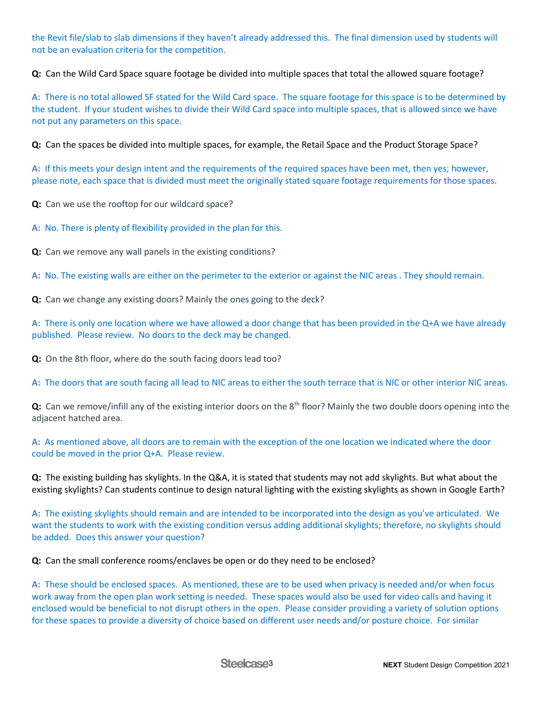the Revit file/slab to slab dimensions if they haven't already addressed this. The final dimension used by students will not be an evaluation criteria for the competition.

**Q:** Can the Wild Card Space square footage be divided into multiple spaces that total the allowed square footage?

**A:** There is no total allowed SF stated for the Wild Card space. The square footage for this space is to be determined by the student. If your student wishes to divide their Wild Card space into multiple spaces, that is allowed since we have not put any parameters on this space.

**Q:** Can the spaces be divided into multiple spaces, for example, the Retail Space and the Product Storage Space?

**A:** If this meets your design intent and the requirements of the required spaces have been met, then yes; however, please note, each space that is divided must meet the originally stated square footage requirements for those spaces.

**Q:** Can we use the rooftop for our wildcard space?

**A:** No. There is plenty of flexibility provided in the plan for this.

**Q:** Can we remove any wall panels in the existing conditions?

**A:** No. The existing walls are either on the perimeter to the exterior or against the NIC areas . They should remain.

**Q:** Can we change any existing doors? Mainly the ones going to the deck?

**A:** There is only one location where we have allowed a door change that has been provided in the Q+A we have already published. Please review. No doors to the deck may be changed.

**Q:** On the 8th floor, where do the south facing doors lead too?

**A:** The doors that are south facing all lead to NIC areas to either the south terrace that is NIC or other interior NIC areas.

**Q:** Can we remove/infill any of the existing interior doors on the 8<sup>th</sup> floor? Mainly the two double doors opening into the adjacent hatched area.

**A:** As mentioned above, all doors are to remain with the exception of the one location we indicated where the door could be moved in the prior Q+A. Please review.

**Q:** The existing building has skylights. In the Q&A, it is stated that students may not add skylights. But what about the existing skylights? Can students continue to design natural lighting with the existing skylights as shown in Google Earth?

**A:** The existing skylights should remain and are intended to be incorporated into the design as you've articulated. We want the students to work with the existing condition versus adding additional skylights; therefore, no skylights should be added. Does this answer your question?

**Q:** Can the small conference rooms/enclaves be open or do they need to be enclosed?

**A:** These should be enclosed spaces. As mentioned, these are to be used when privacy is needed and/or when focus work away from the open plan work setting is needed. These spaces would also be used for video calls and having it enclosed would be beneficial to not disrupt others in the open. Please consider providing a variety of solution options for these spaces to provide a diversity of choice based on different user needs and/or posture choice. For similar

Steelcase<sub>3</sub>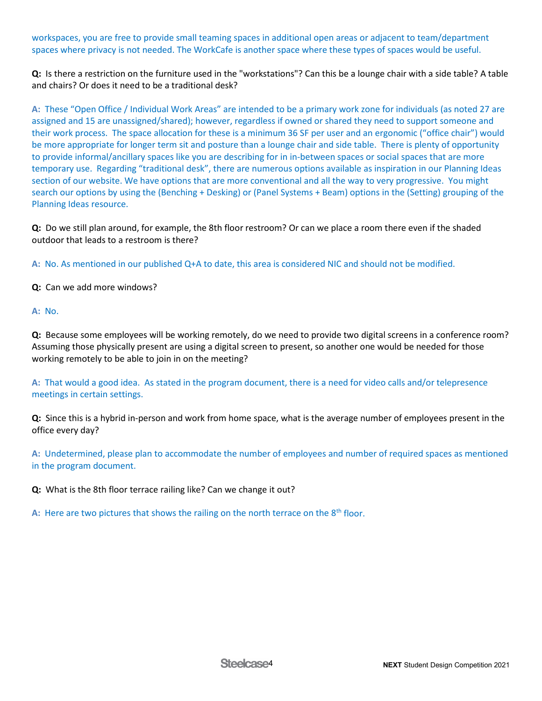workspaces, you are free to provide small teaming spaces in additional open areas or adjacent to team/department spaces where privacy is not needed. The WorkCafe is another space where these types of spaces would be useful.

**Q:** Is there a restriction on the furniture used in the "workstations"? Can this be a lounge chair with a side table? A table and chairs? Or does it need to be a traditional desk?

**A:** These "Open Office / Individual Work Areas" are intended to be a primary work zone for individuals (as noted 27 are assigned and 15 are unassigned/shared); however, regardless if owned or shared they need to support someone and their work process. The space allocation for these is a minimum 36 SF per user and an ergonomic ("office chair") would be more appropriate for longer term sit and posture than a lounge chair and side table. There is plenty of opportunity to provide informal/ancillary spaces like you are describing for in in-between spaces or social spaces that are more temporary use. Regarding "traditional desk", there are numerous options available as inspiration in our Planning Ideas section of our website. We have options that are more conventional and all the way to very progressive. You might search our options by using the (Benching + Desking) or (Panel Systems + Beam) options in the (Setting) grouping of the Planning Ideas resource.

**Q:** Do we still plan around, for example, the 8th floor restroom? Or can we place a room there even if the shaded outdoor that leads to a restroom is there?

**A:** No. As mentioned in our published Q+A to date, this area is considered NIC and should not be modified.

**Q:** Can we add more windows?

**A:** No.

**Q:** Because some employees will be working remotely, do we need to provide two digital screens in a conference room? Assuming those physically present are using a digital screen to present, so another one would be needed for those working remotely to be able to join in on the meeting?

**A:** That would a good idea. As stated in the program document, there is a need for video calls and/or telepresence meetings in certain settings.

**Q:** Since this is a hybrid in-person and work from home space, what is the average number of employees present in the office every day?

**A:** Undetermined, please plan to accommodate the number of employees and number of required spaces as mentioned in the program document.

**Q:** What is the 8th floor terrace railing like? Can we change it out?

**A:** Here are two pictures that shows the railing on the north terrace on the  $8<sup>th</sup>$  floor.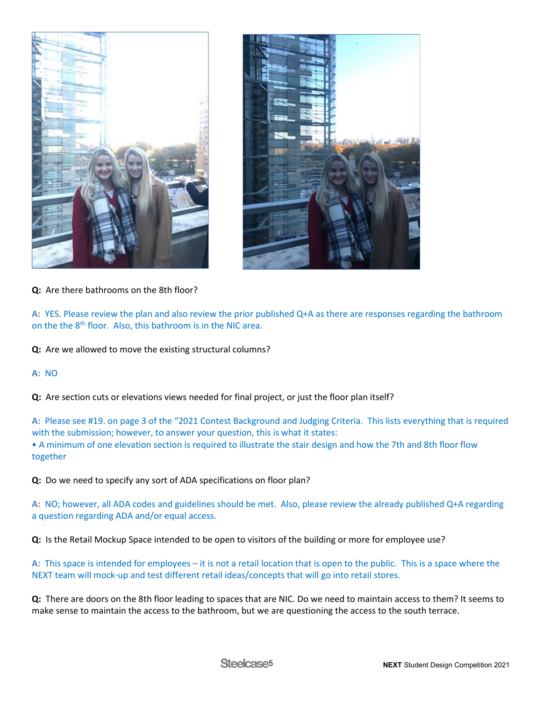



**Q:** Are there bathrooms on the 8th floor?

**A:** YES. Please review the plan and also review the prior published Q+A as there are responses regarding the bathroom on the the 8<sup>th</sup> floor. Also, this bathroom is in the NIC area.

**Q:** Are we allowed to move the existing structural columns?

## **A:** NO

**Q:** Are section cuts or elevations views needed for final project, or just the floor plan itself?

**A:** Please see #19. on page 3 of the "2021 Contest Background and Judging Criteria. This lists everything that is required with the submission; however, to answer your question, this is what it states:

• A minimum of one elevation section is required to illustrate the stair design and how the 7th and 8th floor flow together

**Q:** Do we need to specify any sort of ADA specifications on floor plan?

**A:** NO; however, all ADA codes and guidelines should be met. Also, please review the already published Q+A regarding a question regarding ADA and/or equal access.

**Q:** Is the Retail Mockup Space intended to be open to visitors of the building or more for employee use?

**A:** This space is intended for employees – it is not a retail location that is open to the public. This is a space where the NEXT team will mock-up and test different retail ideas/concepts that will go into retail stores.

**Q:** There are doors on the 8th floor leading to spaces that are NIC. Do we need to maintain access to them? It seems to make sense to maintain the access to the bathroom, but we are questioning the access to the south terrace.

Steelcase<sub>5</sub>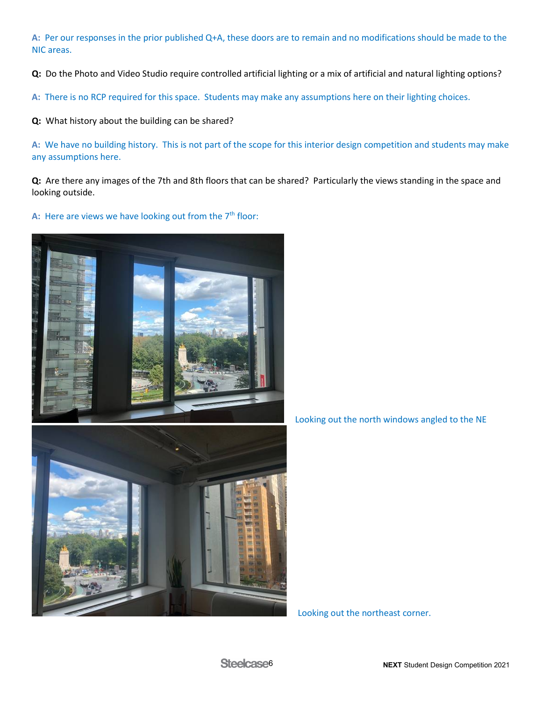**A:** Per our responses in the prior published Q+A, these doors are to remain and no modifications should be made to the NIC areas.

**Q:** Do the Photo and Video Studio require controlled artificial lighting or a mix of artificial and natural lighting options?

**A:** There is no RCP required for this space. Students may make any assumptions here on their lighting choices.

**Q:** What history about the building can be shared?

**A:** We have no building history. This is not part of the scope for this interior design competition and students may make any assumptions here.

**Q:** Are there any images of the 7th and 8th floors that can be shared? Particularly the views standing in the space and looking outside.

A: Here are views we have looking out from the 7<sup>th</sup> floor:





Looking out the north windows angled to the NE

Looking out the northeast corner.

Steelcase<sub>6</sub>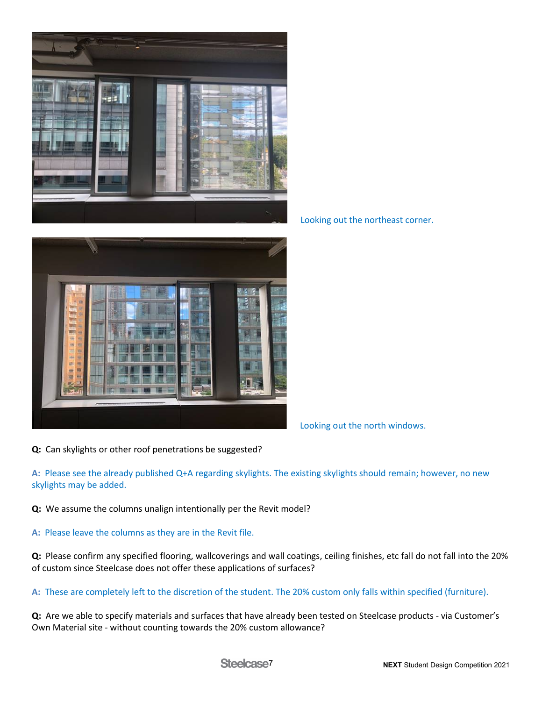

Looking out the northeast corner.



Looking out the north windows.

**Q:** Can skylights or other roof penetrations be suggested?

**A:** Please see the already published Q+A regarding skylights. The existing skylights should remain; however, no new skylights may be added.

**Q:** We assume the columns unalign intentionally per the Revit model?

**A:** Please leave the columns as they are in the Revit file.

**Q:** Please confirm any specified flooring, wallcoverings and wall coatings, ceiling finishes, etc fall do not fall into the 20% of custom since Steelcase does not offer these applications of surfaces?

**A:** These are completely left to the discretion of the student. The 20% custom only falls within specified (furniture).

**Q:** Are we able to specify materials and surfaces that have already been tested on Steelcase products - via Customer's Own Material site - without counting towards the 20% custom allowance?

Steelcase<sub>7</sub>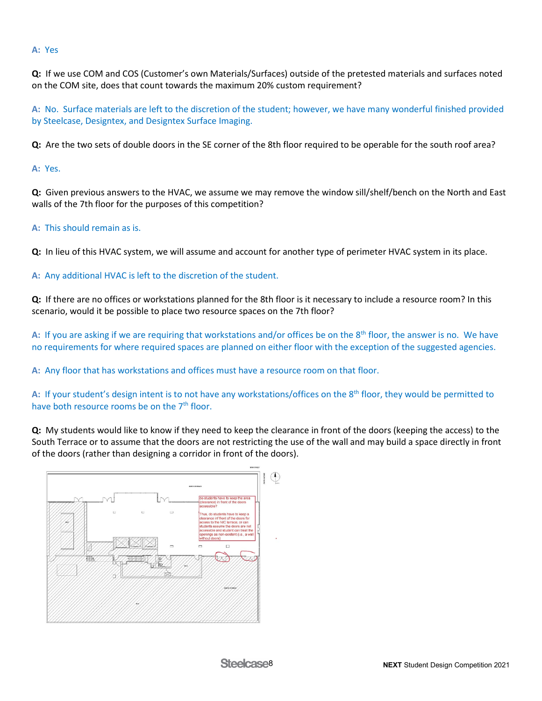### **A:** Yes

**Q:** If we use COM and COS (Customer's own Materials/Surfaces) outside of the pretested materials and surfaces noted on the COM site, does that count towards the maximum 20% custom requirement?

**A:** No. Surface materials are left to the discretion of the student; however, we have many wonderful finished provided by Steelcase, Designtex, and Designtex Surface Imaging.

**Q:** Are the two sets of double doors in the SE corner of the 8th floor required to be operable for the south roof area?

**A:** Yes.

**Q:** Given previous answers to the HVAC, we assume we may remove the window sill/shelf/bench on the North and East walls of the 7th floor for the purposes of this competition?

## **A:** This should remain as is.

**Q:** In lieu of this HVAC system, we will assume and account for another type of perimeter HVAC system in its place.

**A:** Any additional HVAC is left to the discretion of the student.

**Q:** If there are no offices or workstations planned for the 8th floor is it necessary to include a resource room? In this scenario, would it be possible to place two resource spaces on the 7th floor?

**A:** If you are asking if we are requiring that workstations and/or offices be on the 8th floor, the answer is no. We have no requirements for where required spaces are planned on either floor with the exception of the suggested agencies.

**A:** Any floor that has workstations and offices must have a resource room on that floor.

A: If your student's design intent is to not have any workstations/offices on the 8<sup>th</sup> floor, they would be permitted to have both resource rooms be on the  $7<sup>th</sup>$  floor.

**Q:** My students would like to know if they need to keep the clearance in front of the doors (keeping the access) to the South Terrace or to assume that the doors are not restricting the use of the wall and may build a space directly in front of the doors (rather than designing a corridor in front of the doors).

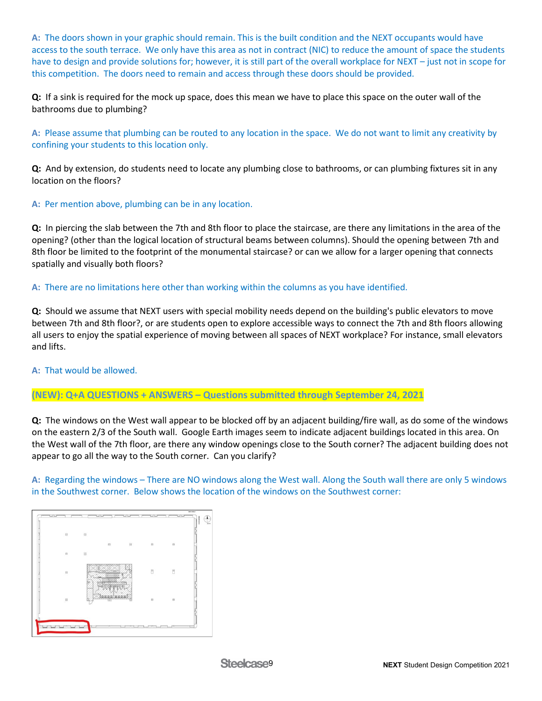**A:** The doors shown in your graphic should remain. This is the built condition and the NEXT occupants would have access to the south terrace. We only have this area as not in contract (NIC) to reduce the amount of space the students have to design and provide solutions for; however, it is still part of the overall workplace for NEXT – just not in scope for this competition. The doors need to remain and access through these doors should be provided.

**Q:** If a sink is required for the mock up space, does this mean we have to place this space on the outer wall of the bathrooms due to plumbing?

**A:** Please assume that plumbing can be routed to any location in the space. We do not want to limit any creativity by confining your students to this location only.

**Q:** And by extension, do students need to locate any plumbing close to bathrooms, or can plumbing fixtures sit in any location on the floors?

**A:** Per mention above, plumbing can be in any location.

**Q:** In piercing the slab between the 7th and 8th floor to place the staircase, are there any limitations in the area of the opening? (other than the logical location of structural beams between columns). Should the opening between 7th and 8th floor be limited to the footprint of the monumental staircase? or can we allow for a larger opening that connects spatially and visually both floors?

**A:** There are no limitations here other than working within the columns as you have identified.

**Q:** Should we assume that NEXT users with special mobility needs depend on the building's public elevators to move between 7th and 8th floor?, or are students open to explore accessible ways to connect the 7th and 8th floors allowing all users to enjoy the spatial experience of moving between all spaces of NEXT workplace? For instance, small elevators and lifts.

**A:** That would be allowed.

**(NEW): Q+A QUESTIONS + ANSWERS – Questions submitted through September 24, 2021**

**Q:** The windows on the West wall appear to be blocked off by an adjacent building/fire wall, as do some of the windows on the eastern 2/3 of the South wall. Google Earth images seem to indicate adjacent buildings located in this area. On the West wall of the 7th floor, are there any window openings close to the South corner? The adjacent building does not appear to go all the way to the South corner. Can you clarify?

**A:** Regarding the windows – There are NO windows along the West wall. Along the South wall there are only 5 windows in the Southwest corner. Below shows the location of the windows on the Southwest corner:

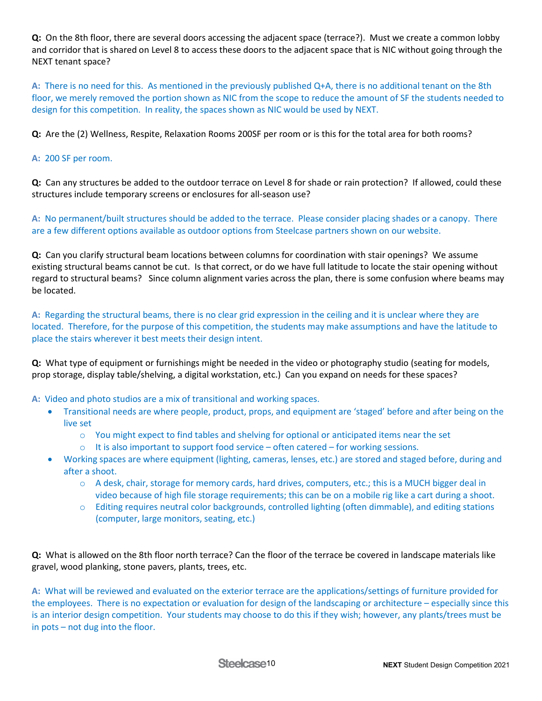**Q:** On the 8th floor, there are several doors accessing the adjacent space (terrace?). Must we create a common lobby and corridor that is shared on Level 8 to access these doors to the adjacent space that is NIC without going through the NEXT tenant space?

**A:** There is no need for this. As mentioned in the previously published Q+A, there is no additional tenant on the 8th floor, we merely removed the portion shown as NIC from the scope to reduce the amount of SF the students needed to design for this competition. In reality, the spaces shown as NIC would be used by NEXT.

**Q:** Are the (2) Wellness, Respite, Relaxation Rooms 200SF per room or is this for the total area for both rooms?

## **A:** 200 SF per room.

**Q:** Can any structures be added to the outdoor terrace on Level 8 for shade or rain protection? If allowed, could these structures include temporary screens or enclosures for all-season use?

**A:** No permanent/built structures should be added to the terrace. Please consider placing shades or a canopy. There are a few different options available as outdoor options from Steelcase partners shown on our website.

**Q:** Can you clarify structural beam locations between columns for coordination with stair openings? We assume existing structural beams cannot be cut. Is that correct, or do we have full latitude to locate the stair opening without regard to structural beams? Since column alignment varies across the plan, there is some confusion where beams may be located.

**A:** Regarding the structural beams, there is no clear grid expression in the ceiling and it is unclear where they are located. Therefore, for the purpose of this competition, the students may make assumptions and have the latitude to place the stairs wherever it best meets their design intent.

**Q:** What type of equipment or furnishings might be needed in the video or photography studio (seating for models, prop storage, display table/shelving, a digital workstation, etc.) Can you expand on needs for these spaces?

**A:** Video and photo studios are a mix of transitional and working spaces.

- Transitional needs are where people, product, props, and equipment are 'staged' before and after being on the live set
	- o You might expect to find tables and shelving for optional or anticipated items near the set
	- $\circ$  It is also important to support food service often catered for working sessions.
- Working spaces are where equipment (lighting, cameras, lenses, etc.) are stored and staged before, during and after a shoot.
	- $\circ$  A desk, chair, storage for memory cards, hard drives, computers, etc.; this is a MUCH bigger deal in video because of high file storage requirements; this can be on a mobile rig like a cart during a shoot.
	- o Editing requires neutral color backgrounds, controlled lighting (often dimmable), and editing stations (computer, large monitors, seating, etc.)

**Q:** What is allowed on the 8th floor north terrace? Can the floor of the terrace be covered in landscape materials like gravel, wood planking, stone pavers, plants, trees, etc.

**A:** What will be reviewed and evaluated on the exterior terrace are the applications/settings of furniture provided for the employees. There is no expectation or evaluation for design of the landscaping or architecture – especially since this is an interior design competition. Your students may choose to do this if they wish; however, any plants/trees must be in pots – not dug into the floor.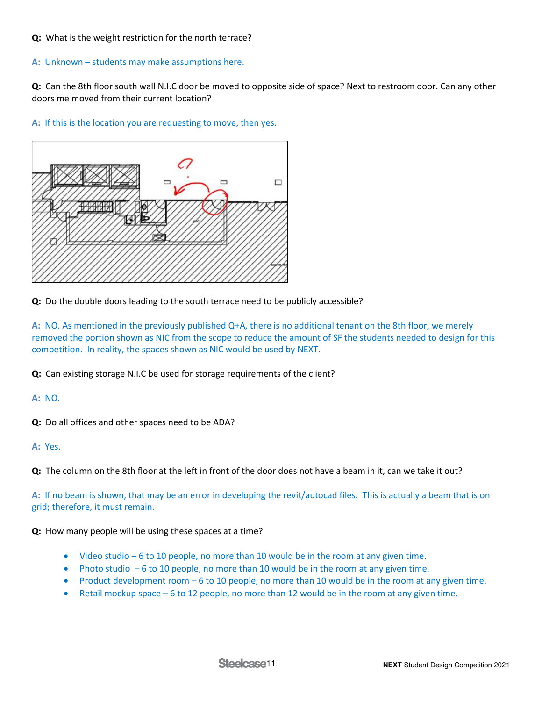### **Q:** What is the weight restriction for the north terrace?

#### **A:** Unknown – students may make assumptions here.

**Q:** Can the 8th floor south wall N.I.C door be moved to opposite side of space? Next to restroom door. Can any other doors me moved from their current location?





**Q:** Do the double doors leading to the south terrace need to be publicly accessible?

**A:** NO. As mentioned in the previously published Q+A, there is no additional tenant on the 8th floor, we merely removed the portion shown as NIC from the scope to reduce the amount of SF the students needed to design for this competition. In reality, the spaces shown as NIC would be used by NEXT.

**Q:** Can existing storage N.I.C be used for storage requirements of the client?

**A:** NO.

**Q:** Do all offices and other spaces need to be ADA?

**A:** Yes.

**Q:** The column on the 8th floor at the left in front of the door does not have a beam in it, can we take it out?

**A:** If no beam is shown, that may be an error in developing the revit/autocad files. This is actually a beam that is on grid; therefore, it must remain.

**Q:** How many people will be using these spaces at a time?

- Video studio 6 to 10 people, no more than 10 would be in the room at any given time.
- Photo studio  $-6$  to 10 people, no more than 10 would be in the room at any given time.
- Product development room 6 to 10 people, no more than 10 would be in the room at any given time.
- Retail mockup space 6 to 12 people, no more than 12 would be in the room at any given time.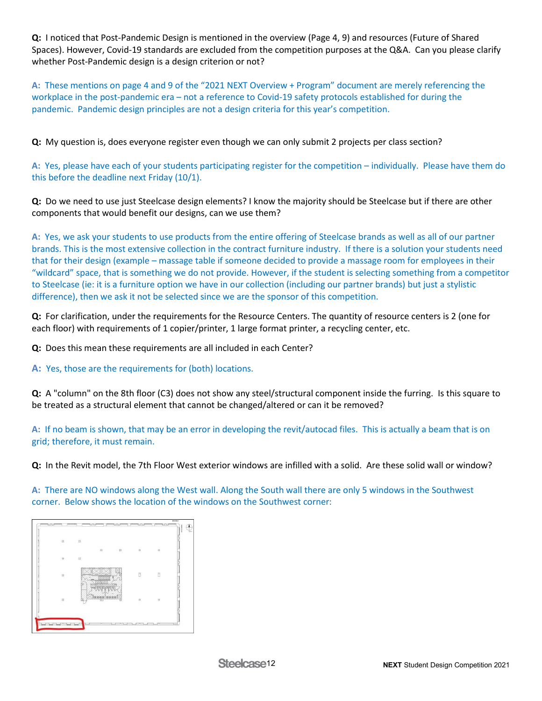**Q:** I noticed that Post-Pandemic Design is mentioned in the overview (Page 4, 9) and resources (Future of Shared Spaces). However, Covid-19 standards are excluded from the competition purposes at the Q&A. Can you please clarify whether Post-Pandemic design is a design criterion or not?

**A:** These mentions on page 4 and 9 of the "2021 NEXT Overview + Program" document are merely referencing the workplace in the post-pandemic era – not a reference to Covid-19 safety protocols established for during the pandemic. Pandemic design principles are not a design criteria for this year's competition.

**Q:** My question is, does everyone register even though we can only submit 2 projects per class section?

**A:** Yes, please have each of your students participating register for the competition – individually. Please have them do this before the deadline next Friday (10/1).

**Q:** Do we need to use just Steelcase design elements? I know the majority should be Steelcase but if there are other components that would benefit our designs, can we use them?

**A:** Yes, we ask your students to use products from the entire offering of Steelcase brands as well as all of our partner brands. This is the most extensive collection in the contract furniture industry. If there is a solution your students need that for their design (example – massage table if someone decided to provide a massage room for employees in their "wildcard" space, that is something we do not provide. However, if the student is selecting something from a competitor to Steelcase (ie: it is a furniture option we have in our collection (including our partner brands) but just a stylistic difference), then we ask it not be selected since we are the sponsor of this competition.

**Q:** For clarification, under the requirements for the Resource Centers. The quantity of resource centers is 2 (one for each floor) with requirements of 1 copier/printer, 1 large format printer, a recycling center, etc.

**Q:** Does this mean these requirements are all included in each Center?

**A:** Yes, those are the requirements for (both) locations.

**Q:** A "column" on the 8th floor (C3) does not show any steel/structural component inside the furring. Is this square to be treated as a structural element that cannot be changed/altered or can it be removed?

**A:** If no beam is shown, that may be an error in developing the revit/autocad files. This is actually a beam that is on grid; therefore, it must remain.

**Q:** In the Revit model, the 7th Floor West exterior windows are infilled with a solid. Are these solid wall or window?

**A:** There are NO windows along the West wall. Along the South wall there are only 5 windows in the Southwest corner. Below shows the location of the windows on the Southwest corner:

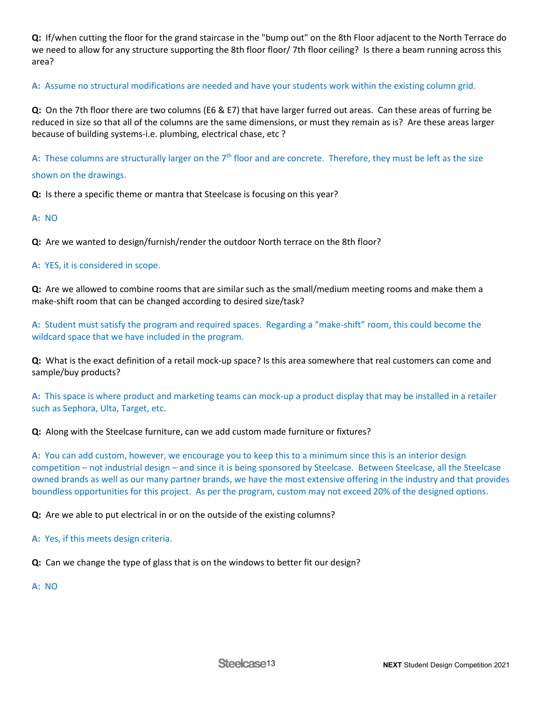**Q:** If/when cutting the floor for the grand staircase in the "bump out" on the 8th Floor adjacent to the North Terrace do we need to allow for any structure supporting the 8th floor floor/ 7th floor ceiling? Is there a beam running across this area?

**A:** Assume no structural modifications are needed and have your students work within the existing column grid.

**Q:** On the 7th floor there are two columns (E6 & E7) that have larger furred out areas. Can these areas of furring be reduced in size so that all of the columns are the same dimensions, or must they remain as is? Are these areas larger because of building systems-i.e. plumbing, electrical chase, etc ?

**A:** These columns are structurally larger on the 7th floor and are concrete. Therefore, they must be left as the size shown on the drawings.

**Q:** Is there a specific theme or mantra that Steelcase is focusing on this year?

### **A:** NO

**Q:** Are we wanted to design/furnish/render the outdoor North terrace on the 8th floor?

### **A:** YES, it is considered in scope.

**Q:** Are we allowed to combine rooms that are similar such as the small/medium meeting rooms and make them a make-shift room that can be changed according to desired size/task?

**A:** Student must satisfy the program and required spaces. Regarding a "make-shift" room, this could become the wildcard space that we have included in the program.

**Q:** What is the exact definition of a retail mock-up space? Is this area somewhere that real customers can come and sample/buy products?

**A:** This space is where product and marketing teams can mock-up a product display that may be installed in a retailer such as Sephora, Ulta, Target, etc.

#### **Q:** Along with the Steelcase furniture, can we add custom made furniture or fixtures?

**A:** You can add custom, however, we encourage you to keep this to a minimum since this is an interior design competition – not industrial design – and since it is being sponsored by Steelcase. Between Steelcase, all the Steelcase owned brands as well as our many partner brands, we have the most extensive offering in the industry and that provides boundless opportunities for this project. As per the program, custom may not exceed 20% of the designed options.

**Q:** Are we able to put electrical in or on the outside of the existing columns?

- **A:** Yes, if this meets design criteria.
- **Q:** Can we change the type of glass that is on the windows to better fit our design?

**A:** NO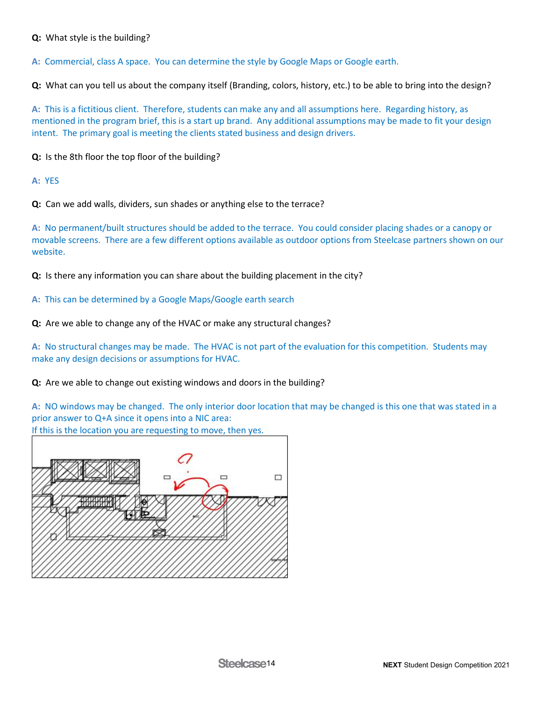## **Q:** What style is the building?

**A:** Commercial, class A space. You can determine the style by Google Maps or Google earth.

**Q:** What can you tell us about the company itself (Branding, colors, history, etc.) to be able to bring into the design?

**A:** This is a fictitious client. Therefore, students can make any and all assumptions here. Regarding history, as mentioned in the program brief, this is a start up brand. Any additional assumptions may be made to fit your design intent. The primary goal is meeting the clients stated business and design drivers.

**Q:** Is the 8th floor the top floor of the building?

**A:** YES

**Q:** Can we add walls, dividers, sun shades or anything else to the terrace?

**A:** No permanent/built structures should be added to the terrace. You could consider placing shades or a canopy or movable screens. There are a few different options available as outdoor options from Steelcase partners shown on our website.

**Q:** Is there any information you can share about the building placement in the city?

**A:** This can be determined by a Google Maps/Google earth search

**Q:** Are we able to change any of the HVAC or make any structural changes?

**A:** No structural changes may be made. The HVAC is not part of the evaluation for this competition. Students may make any design decisions or assumptions for HVAC.

**Q:** Are we able to change out existing windows and doors in the building?

**A:** NO windows may be changed. The only interior door location that may be changed is this one that was stated in a prior answer to Q+A since it opens into a NIC area:

If this is the location you are requesting to move, then yes.

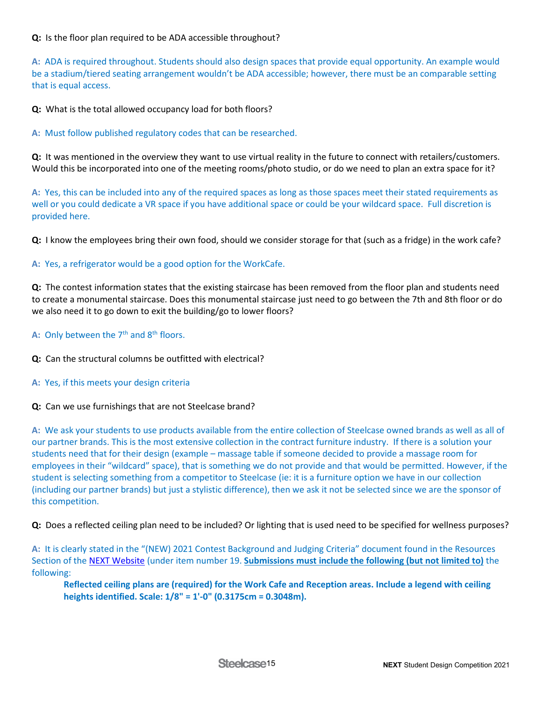**Q:** Is the floor plan required to be ADA accessible throughout?

**A:** ADA is required throughout. Students should also design spaces that provide equal opportunity. An example would be a stadium/tiered seating arrangement wouldn't be ADA accessible; however, there must be an comparable setting that is equal access.

**Q:** What is the total allowed occupancy load for both floors?

**A:** Must follow published regulatory codes that can be researched.

**Q:** It was mentioned in the overview they want to use virtual reality in the future to connect with retailers/customers. Would this be incorporated into one of the meeting rooms/photo studio, or do we need to plan an extra space for it?

**A:** Yes, this can be included into any of the required spaces as long as those spaces meet their stated requirements as well or you could dedicate a VR space if you have additional space or could be your wildcard space. Full discretion is provided here.

**Q:** I know the employees bring their own food, should we consider storage for that (such as a fridge) in the work cafe?

**A:** Yes, a refrigerator would be a good option for the WorkCafe.

**Q:** The contest information states that the existing staircase has been removed from the floor plan and students need to create a monumental staircase. Does this monumental staircase just need to go between the 7th and 8th floor or do we also need it to go down to exit the building/go to lower floors?

A: Only between the 7<sup>th</sup> and 8<sup>th</sup> floors.

**Q:** Can the structural columns be outfitted with electrical?

**A:** Yes, if this meets your design criteria

**Q:** Can we use furnishings that are not Steelcase brand?

**A:** We ask your students to use products available from the entire collection of Steelcase owned brands as well as all of our partner brands. This is the most extensive collection in the contract furniture industry. If there is a solution your students need that for their design (example – massage table if someone decided to provide a massage room for employees in their "wildcard" space), that is something we do not provide and that would be permitted. However, if the student is selecting something from a competitor to Steelcase (ie: it is a furniture option we have in our collection (including our partner brands) but just a stylistic difference), then we ask it not be selected since we are the sponsor of this competition.

**Q:** Does a reflected ceiling plan need to be included? Or lighting that is used need to be specified for wellness purposes?

**A:** It is clearly stated in the "(NEW) 2021 Contest Background and Judging Criteria" document found in the Resources Section of th[e NEXT Website](https://www.steelcase.com/discover/information/architects-and-designers/next-student-design-competition/#winners-and-judges_winner) (under item number 19. **Submissions must include the following (but not limited to)** the following:

**Reflected ceiling plans are (required) for the Work Cafe and Reception areas. Include a legend with ceiling heights identified. Scale: 1/8" = 1'-0" (0.3175cm = 0.3048m).**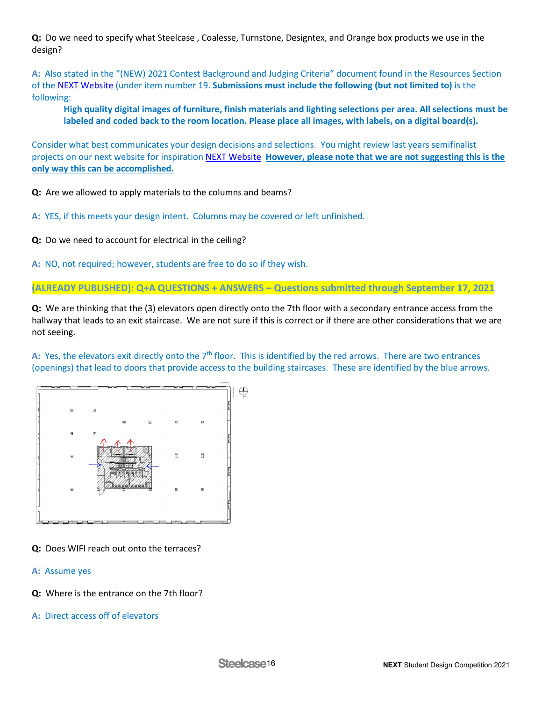**Q:** Do we need to specify what Steelcase , Coalesse, Turnstone, Designtex, and Orange box products we use in the design?

**A:** Also stated in the "(NEW) 2021 Contest Background and Judging Criteria" document found in the Resources Section of the [NEXT Website](https://www.steelcase.com/discover/information/architects-and-designers/next-student-design-competition/#winners-and-judges_winner) (under item number 19. **Submissions must include the following (but not limited to)** is the following:

**High quality digital images of furniture, finish materials and lighting selections per area. All selections must be labeled and coded back to the room location. Please place all images, with labels, on a digital board(s).**

Consider what best communicates your design decisions and selections. You might review last years semifinalist projects on our next website for inspiration [NEXT Website](https://www.steelcase.com/discover/information/architects-and-designers/next-student-design-competition/#winners-and-judges_winner) **However, please note that we are not suggesting this is the only way this can be accomplished.**

**Q:** Are we allowed to apply materials to the columns and beams?

**A:** YES, if this meets your design intent. Columns may be covered or left unfinished.

**Q:** Do we need to account for electrical in the ceiling?

**A:** NO, not required; however, students are free to do so if they wish.

**(ALREADY PUBLISHED): Q+A QUESTIONS + ANSWERS – Questions submitted through September 17, 2021**

**Q:** We are thinking that the (3) elevators open directly onto the 7th floor with a secondary entrance access from the hallway that leads to an exit staircase. We are not sure if this is correct or if there are other considerations that we are not seeing.

A: Yes, the elevators exit directly onto the 7<sup>th</sup> floor. This is identified by the red arrows. There are two entrances (openings) that lead to doors that provide access to the building staircases. These are identified by the blue arrows.



## **Q:** Does WIFI reach out onto the terraces?

- **A:** Assume yes
- **Q:** Where is the entrance on the 7th floor?
- **A:** Direct access off of elevators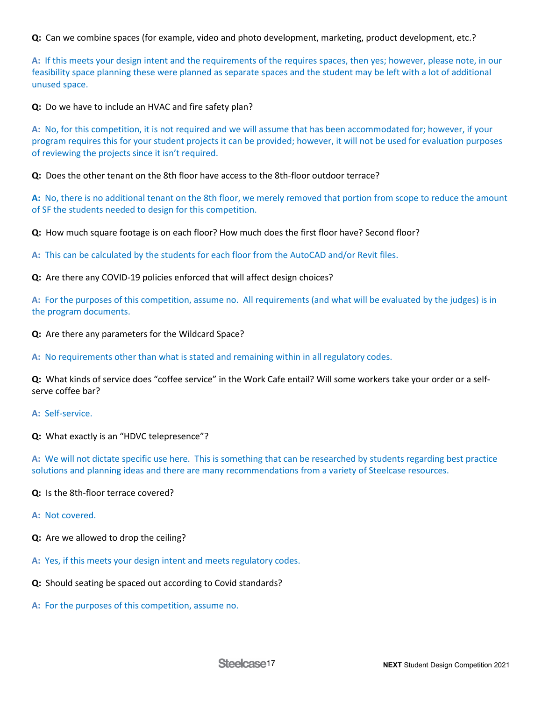**Q:** Can we combine spaces (for example, video and photo development, marketing, product development, etc.?

**A:** If this meets your design intent and the requirements of the requires spaces, then yes; however, please note, in our feasibility space planning these were planned as separate spaces and the student may be left with a lot of additional unused space.

**Q:** Do we have to include an HVAC and fire safety plan?

**A:** No, for this competition, it is not required and we will assume that has been accommodated for; however, if your program requires this for your student projects it can be provided; however, it will not be used for evaluation purposes of reviewing the projects since it isn't required.

**Q:** Does the other tenant on the 8th floor have access to the 8th-floor outdoor terrace?

**A:** No, there is no additional tenant on the 8th floor, we merely removed that portion from scope to reduce the amount of SF the students needed to design for this competition.

**Q:** How much square footage is on each floor? How much does the first floor have? Second floor?

**A:** This can be calculated by the students for each floor from the AutoCAD and/or Revit files.

**Q:** Are there any COVID-19 policies enforced that will affect design choices?

**A:** For the purposes of this competition, assume no. All requirements (and what will be evaluated by the judges) is in the program documents.

**Q:** Are there any parameters for the Wildcard Space?

**A:** No requirements other than what is stated and remaining within in all regulatory codes.

**Q:** What kinds of service does "coffee service" in the Work Cafe entail? Will some workers take your order or a selfserve coffee bar?

**A:** Self-service.

**Q:** What exactly is an "HDVC telepresence"?

**A:** We will not dictate specific use here. This is something that can be researched by students regarding best practice solutions and planning ideas and there are many recommendations from a variety of Steelcase resources.

#### **Q:** Is the 8th-floor terrace covered?

- **A:** Not covered.
- **Q:** Are we allowed to drop the ceiling?
- **A:** Yes, if this meets your design intent and meets regulatory codes.
- **Q:** Should seating be spaced out according to Covid standards?
- **A:** For the purposes of this competition, assume no.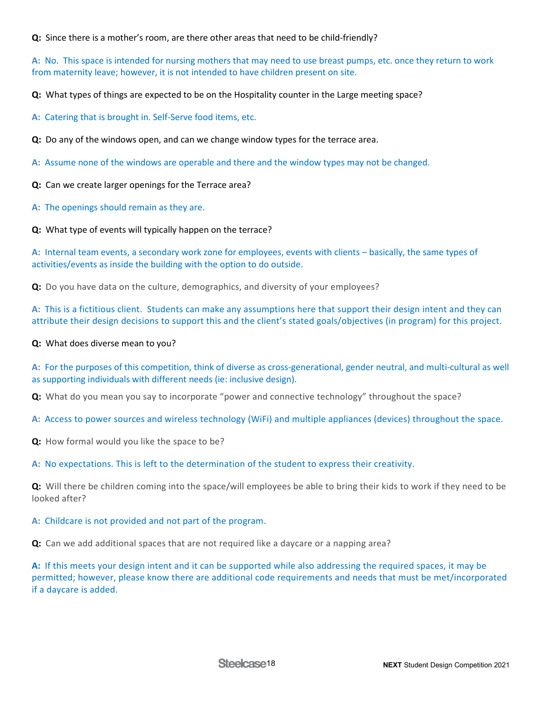**Q:** Since there is a mother's room, are there other areas that need to be child-friendly?

**A:** No. This space is intended for nursing mothers that may need to use breast pumps, etc. once they return to work from maternity leave; however, it is not intended to have children present on site.

**Q:** What types of things are expected to be on the Hospitality counter in the Large meeting space?

**A:** Catering that is brought in. Self-Serve food items, etc.

**Q:** Do any of the windows open, and can we change window types for the terrace area.

**A:** Assume none of the windows are operable and there and the window types may not be changed.

**Q:** Can we create larger openings for the Terrace area?

**A:** The openings should remain as they are.

**Q:** What type of events will typically happen on the terrace?

**A:** Internal team events, a secondary work zone for employees, events with clients – basically, the same types of activities/events as inside the building with the option to do outside.

**Q:** Do you have data on the culture, demographics, and diversity of your employees?

**A:** This is a fictitious client. Students can make any assumptions here that support their design intent and they can attribute their design decisions to support this and the client's stated goals/objectives (in program) for this project.

#### **Q:** What does diverse mean to you?

**A:** For the purposes of this competition, think of diverse as cross-generational, gender neutral, and multi-cultural as well as supporting individuals with different needs (ie: inclusive design).

**Q:** What do you mean you say to incorporate "power and connective technology" throughout the space?

**A:** Access to power sources and wireless technology (WiFi) and multiple appliances (devices) throughout the space.

**Q:** How formal would you like the space to be?

**A:** No expectations. This is left to the determination of the student to express their creativity.

**Q:** Will there be children coming into the space/will employees be able to bring their kids to work if they need to be looked after?

## **A:** Childcare is not provided and not part of the program.

**Q:** Can we add additional spaces that are not required like a daycare or a napping area?

**A:** If this meets your design intent and it can be supported while also addressing the required spaces, it may be permitted; however, please know there are additional code requirements and needs that must be met/incorporated if a daycare is added.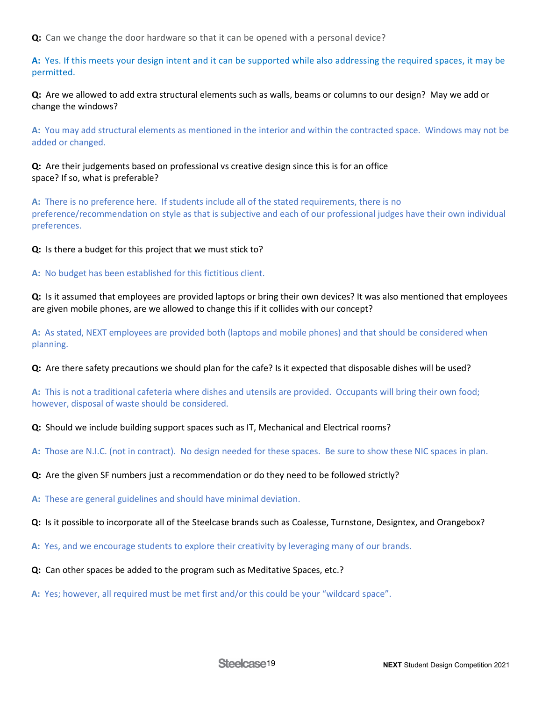**Q:** Can we change the door hardware so that it can be opened with a personal device?

**A:** Yes. If this meets your design intent and it can be supported while also addressing the required spaces, it may be permitted.

**Q:** Are we allowed to add extra structural elements such as walls, beams or columns to our design? May we add or change the windows?

**A:** You may add structural elements as mentioned in the interior and within the contracted space. Windows may not be added or changed.

**Q:** Are their judgements based on professional vs creative design since this is for an office space? If so, what is preferable?

**A:** There is no preference here. If students include all of the stated requirements, there is no preference/recommendation on style as that is subjective and each of our professional judges have their own individual preferences.

**Q:** Is there a budget for this project that we must stick to?

**A:** No budget has been established for this fictitious client.

**Q:** Is it assumed that employees are provided laptops or bring their own devices? It was also mentioned that employees are given mobile phones, are we allowed to change this if it collides with our concept?

**A:** As stated, NEXT employees are provided both (laptops and mobile phones) and that should be considered when planning.

**Q:** Are there safety precautions we should plan for the cafe? Is it expected that disposable dishes will be used?

**A:** This is not a traditional cafeteria where dishes and utensils are provided. Occupants will bring their own food; however, disposal of waste should be considered.

- **Q:** Should we include building support spaces such as IT, Mechanical and Electrical rooms?
- **A:** Those are N.I.C. (not in contract). No design needed for these spaces. Be sure to show these NIC spaces in plan.
- **Q:** Are the given SF numbers just a recommendation or do they need to be followed strictly?

**A:** These are general guidelines and should have minimal deviation.

- **Q:** Is it possible to incorporate all of the Steelcase brands such as Coalesse, Turnstone, Designtex, and Orangebox?
- **A:** Yes, and we encourage students to explore their creativity by leveraging many of our brands.
- **Q:** Can other spaces be added to the program such as Meditative Spaces, etc.?
- **A:** Yes; however, all required must be met first and/or this could be your "wildcard space".